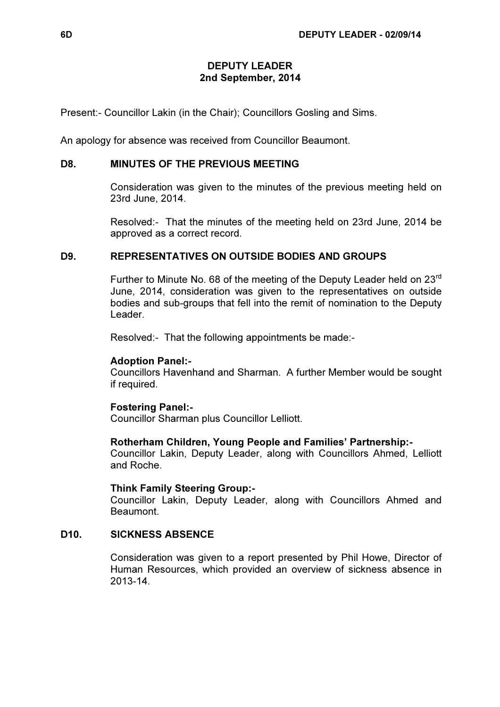### DEPUTY LEADER 2nd September, 2014

Present:- Councillor Lakin (in the Chair); Councillors Gosling and Sims.

An apology for absence was received from Councillor Beaumont.

## D8. MINUTES OF THE PREVIOUS MEETING

 Consideration was given to the minutes of the previous meeting held on 23rd June, 2014.

Resolved:- That the minutes of the meeting held on 23rd June, 2014 be approved as a correct record.

# D9. REPRESENTATIVES ON OUTSIDE BODIES AND GROUPS

Further to Minute No. 68 of the meeting of the Deputy Leader held on 23<sup>rd</sup> June, 2014, consideration was given to the representatives on outside bodies and sub-groups that fell into the remit of nomination to the Deputy Leader.

Resolved:- That the following appointments be made:-

### Adoption Panel:-

Councillors Havenhand and Sharman. A further Member would be sought if required.

### Fostering Panel:-

Councillor Sharman plus Councillor Lelliott.

#### Rotherham Children, Young People and Families' Partnership:-

Councillor Lakin, Deputy Leader, along with Councillors Ahmed, Lelliott and Roche.

#### Think Family Steering Group:-

Councillor Lakin, Deputy Leader, along with Councillors Ahmed and Beaumont.

## D10. SICKNESS ABSENCE

 Consideration was given to a report presented by Phil Howe, Director of Human Resources, which provided an overview of sickness absence in 2013-14.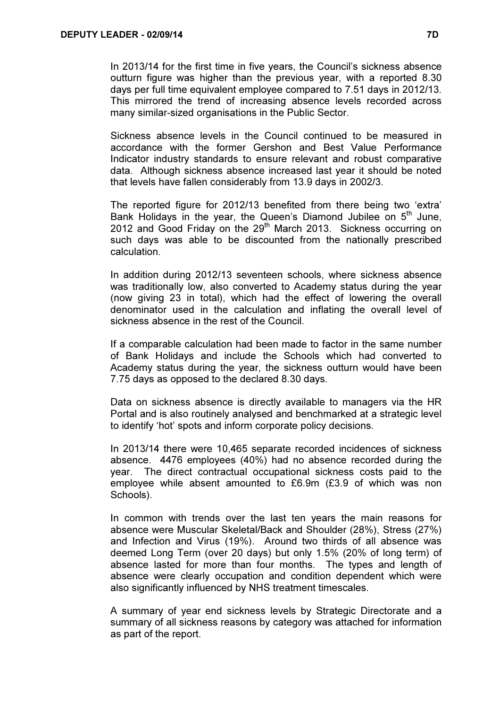In 2013/14 for the first time in five years, the Council's sickness absence outturn figure was higher than the previous year, with a reported 8.30 days per full time equivalent employee compared to 7.51 days in 2012/13. This mirrored the trend of increasing absence levels recorded across many similar-sized organisations in the Public Sector.

Sickness absence levels in the Council continued to be measured in accordance with the former Gershon and Best Value Performance Indicator industry standards to ensure relevant and robust comparative data. Although sickness absence increased last year it should be noted that levels have fallen considerably from 13.9 days in 2002/3.

The reported figure for 2012/13 benefited from there being two 'extra' Bank Holidays in the year, the Queen's Diamond Jubilee on  $5<sup>th</sup>$  June. 2012 and Good Friday on the  $29<sup>th</sup>$  March 2013. Sickness occurring on such days was able to be discounted from the nationally prescribed calculation.

In addition during 2012/13 seventeen schools, where sickness absence was traditionally low, also converted to Academy status during the year (now giving 23 in total), which had the effect of lowering the overall denominator used in the calculation and inflating the overall level of sickness absence in the rest of the Council.

If a comparable calculation had been made to factor in the same number of Bank Holidays and include the Schools which had converted to Academy status during the year, the sickness outturn would have been 7.75 days as opposed to the declared 8.30 days.

Data on sickness absence is directly available to managers via the HR Portal and is also routinely analysed and benchmarked at a strategic level to identify 'hot' spots and inform corporate policy decisions.

In 2013/14 there were 10,465 separate recorded incidences of sickness absence. 4476 employees (40%) had no absence recorded during the year. The direct contractual occupational sickness costs paid to the employee while absent amounted to £6.9m (£3.9 of which was non Schools).

In common with trends over the last ten years the main reasons for absence were Muscular Skeletal/Back and Shoulder (28%), Stress (27%) and Infection and Virus (19%). Around two thirds of all absence was deemed Long Term (over 20 days) but only 1.5% (20% of long term) of absence lasted for more than four months. The types and length of absence were clearly occupation and condition dependent which were also significantly influenced by NHS treatment timescales.

A summary of year end sickness levels by Strategic Directorate and a summary of all sickness reasons by category was attached for information as part of the report.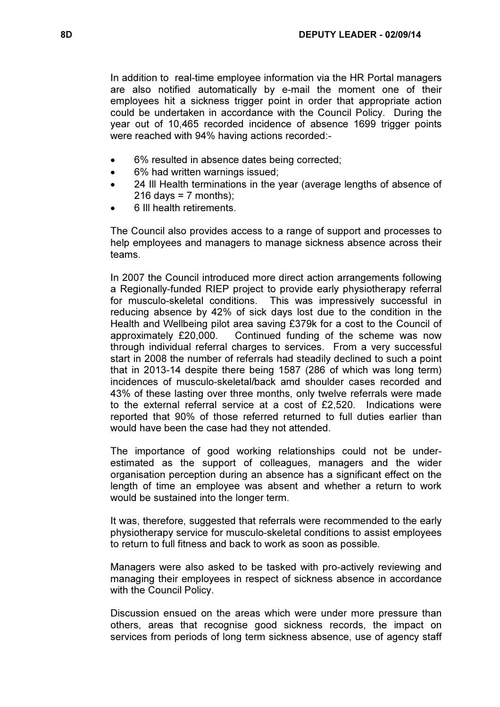In addition to real-time employee information via the HR Portal managers are also notified automatically by e-mail the moment one of their employees hit a sickness trigger point in order that appropriate action could be undertaken in accordance with the Council Policy. During the year out of 10,465 recorded incidence of absence 1699 trigger points were reached with 94% having actions recorded:-

- 6% resulted in absence dates being corrected;
- 6% had written warnings issued;
- 24 Ill Health terminations in the year (average lengths of absence of  $216$  days = 7 months):
- 6 Ill health retirements.

The Council also provides access to a range of support and processes to help employees and managers to manage sickness absence across their teams.

In 2007 the Council introduced more direct action arrangements following a Regionally-funded RIEP project to provide early physiotherapy referral for musculo-skeletal conditions. This was impressively successful in reducing absence by 42% of sick days lost due to the condition in the Health and Wellbeing pilot area saving £379k for a cost to the Council of approximately £20,000. Continued funding of the scheme was now through individual referral charges to services. From a very successful start in 2008 the number of referrals had steadily declined to such a point that in 2013-14 despite there being 1587 (286 of which was long term) incidences of musculo-skeletal/back amd shoulder cases recorded and 43% of these lasting over three months, only twelve referrals were made to the external referral service at a cost of £2,520. Indications were reported that 90% of those referred returned to full duties earlier than would have been the case had they not attended.

The importance of good working relationships could not be underestimated as the support of colleagues, managers and the wider organisation perception during an absence has a significant effect on the length of time an employee was absent and whether a return to work would be sustained into the longer term.

It was, therefore, suggested that referrals were recommended to the early physiotherapy service for musculo-skeletal conditions to assist employees to return to full fitness and back to work as soon as possible.

Managers were also asked to be tasked with pro-actively reviewing and managing their employees in respect of sickness absence in accordance with the Council Policy.

Discussion ensued on the areas which were under more pressure than others, areas that recognise good sickness records, the impact on services from periods of long term sickness absence, use of agency staff